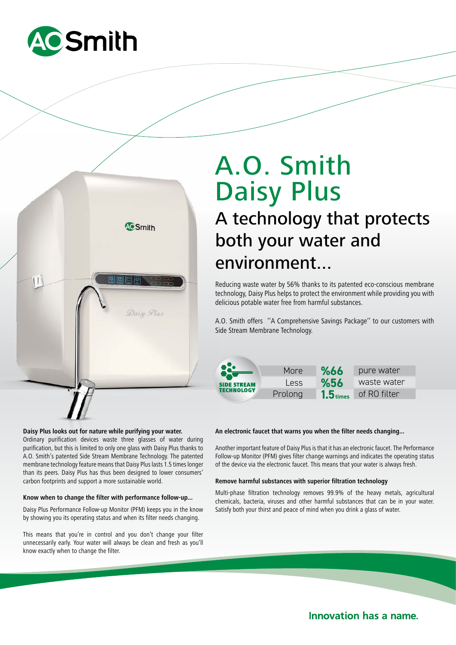



# **Daisy Plus looks out for nature while purifying your water.**

Ordinary purification devices waste three glasses of water during purification, but this is limited to only one glass with Daisy Plus thanks to A.O. Smith's patented Side Stream Membrane Technology. The patented membrane technology feature means that Daisy Plus lasts 1.5 times longer than its peers. Daisy Plus has thus been designed to lower consumers' carbon footprints and support a more sustainable world.

## **Know when to change the filter with performance follow-up...**

Daisy Plus Performance Follow-up Monitor (PFM) keeps you in the know by showing you its operating status and when its filter needs changing.

This means that you're in control and you don't change your filter unnecessarily early. Your water will always be clean and fresh as you'll know exactly when to change the filter.

# A technology that protects both your water and A.O. Smith Daisy Plus

environment...

Reducing waste water by 56% thanks to its patented eco-conscious membrane technology, Daisy Plus helps to protect the environment while providing you with delicious potable water free from harmful substances.

A.O. Smith offers ''A Comprehensive Savings Package'' to our customers with Side Stream Membrane Technology.



### **An electronic faucet that warns you when the filter needs changing...**

Another important feature of Daisy Plus is that it has an electronic faucet. The Performance Follow-up Monitor (PFM) gives filter change warnings and indicates the operating status of the device via the electronic faucet. This means that your water is always fresh.

#### **Remove harmful substances with superior filtration technology**

Multi-phase filtration technology removes 99.9% of the heavy metals, agricultural chemicals, bacteria, viruses and other harmful substances that can be in your water. Satisfy both your thirst and peace of mind when you drink a glass of water.

**Innovation has a name.**